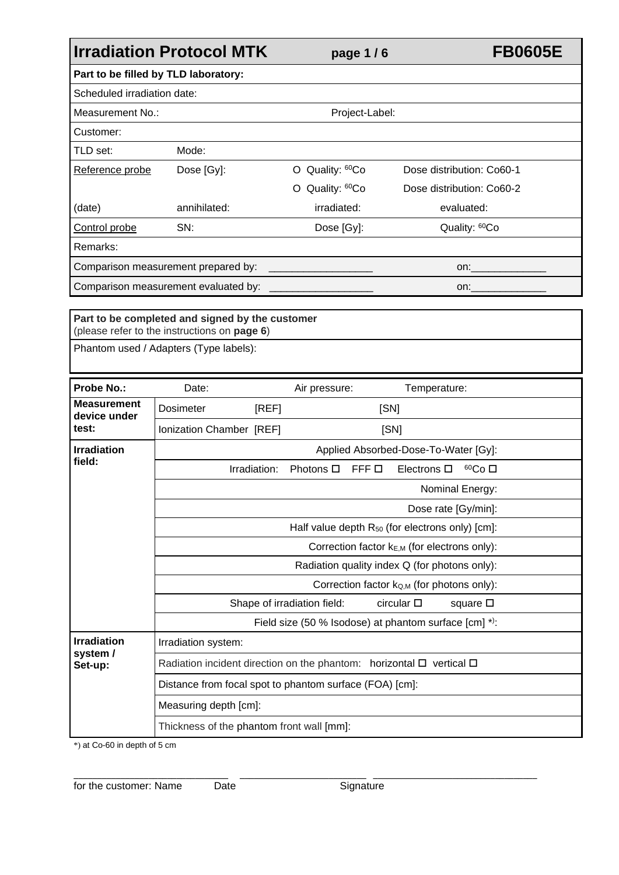|                                             | <b>Irradiation Protocol MTK</b>                                                        | page 1/6                    |                                                             | <b>FB0605E</b>            |
|---------------------------------------------|----------------------------------------------------------------------------------------|-----------------------------|-------------------------------------------------------------|---------------------------|
|                                             | Part to be filled by TLD laboratory:                                                   |                             |                                                             |                           |
| Scheduled irradiation date:                 |                                                                                        |                             |                                                             |                           |
| Measurement No.:                            |                                                                                        | Project-Label:              |                                                             |                           |
| Customer:                                   |                                                                                        |                             |                                                             |                           |
| TLD set:                                    | Mode:                                                                                  |                             |                                                             |                           |
| Reference probe                             | Dose [Gy]:                                                                             | O Quality: <sup>60</sup> Co |                                                             | Dose distribution: Co60-1 |
|                                             |                                                                                        | O Quality: <sup>60</sup> Co |                                                             | Dose distribution: Co60-2 |
| (date)                                      | annihilated:                                                                           | irradiated:                 |                                                             | evaluated:                |
| Control probe                               | SN:                                                                                    | Dose [Gy]:                  |                                                             | Quality: <sup>60</sup> Co |
| Remarks:                                    |                                                                                        |                             |                                                             |                           |
|                                             | Comparison measurement prepared by:                                                    |                             |                                                             | on:                       |
| Comparison measurement evaluated by:<br>on: |                                                                                        |                             |                                                             |                           |
|                                             | (please refer to the instructions on page 6)<br>Phantom used / Adapters (Type labels): |                             |                                                             |                           |
| <b>Probe No.:</b>                           | Date:                                                                                  | Air pressure:               | Temperature:                                                |                           |
| <b>Measurement</b><br>device under          | Dosimeter<br>[REF]                                                                     |                             | [SN]                                                        |                           |
| test:                                       | Ionization Chamber [REF]                                                               |                             | [SN]                                                        |                           |
| <b>Irradiation</b>                          |                                                                                        |                             | Applied Absorbed-Dose-To-Water [Gy]:                        |                           |
| field:                                      | Irradiation:                                                                           | Photons □                   | FFF D<br>Electrons $\square$                                | <sup>60</sup> Co □        |
|                                             |                                                                                        |                             |                                                             | Nominal Energy:           |
|                                             |                                                                                        |                             |                                                             | Dose rate [Gy/min]:       |
|                                             |                                                                                        |                             | Half value depth R <sub>50</sub> (for electrons only) [cm]: |                           |
|                                             |                                                                                        |                             | Correction factor $k_{E,M}$ (for electrons only):           |                           |
|                                             |                                                                                        |                             | Radiation quality index Q (for photons only):               |                           |

|                     | Correction factor k <sub>Q,M</sub> (for photons only):                         |  |  |  |  |
|---------------------|--------------------------------------------------------------------------------|--|--|--|--|
|                     | Shape of irradiation field:<br>circular $\square$<br>square $\square$          |  |  |  |  |
|                     | Field size (50 % Isodose) at phantom surface [cm] *):                          |  |  |  |  |
| <b>Irradiation</b>  | Irradiation system:                                                            |  |  |  |  |
| system /<br>Set-up: | Radiation incident direction on the phantom: horizontal $\Box$ vertical $\Box$ |  |  |  |  |
|                     | Distance from focal spot to phantom surface (FOA) [cm]:                        |  |  |  |  |
|                     | Measuring depth [cm]:                                                          |  |  |  |  |
|                     | Thickness of the phantom front wall [mm]:                                      |  |  |  |  |

**\_\_\_\_\_\_\_\_\_\_\_\_\_\_\_\_\_\_\_\_\_\_\_\_\_\_\_\_\_\_\_\_\_ \_\_\_\_\_\_\_\_\_\_\_\_\_\_\_\_\_\_\_\_\_\_\_\_\_\_\_ \_\_\_\_\_\_\_\_\_\_\_\_\_\_\_\_\_\_\_\_\_\_\_\_\_\_\_\_\_\_\_\_\_\_\_** for the customer: Name Date Signature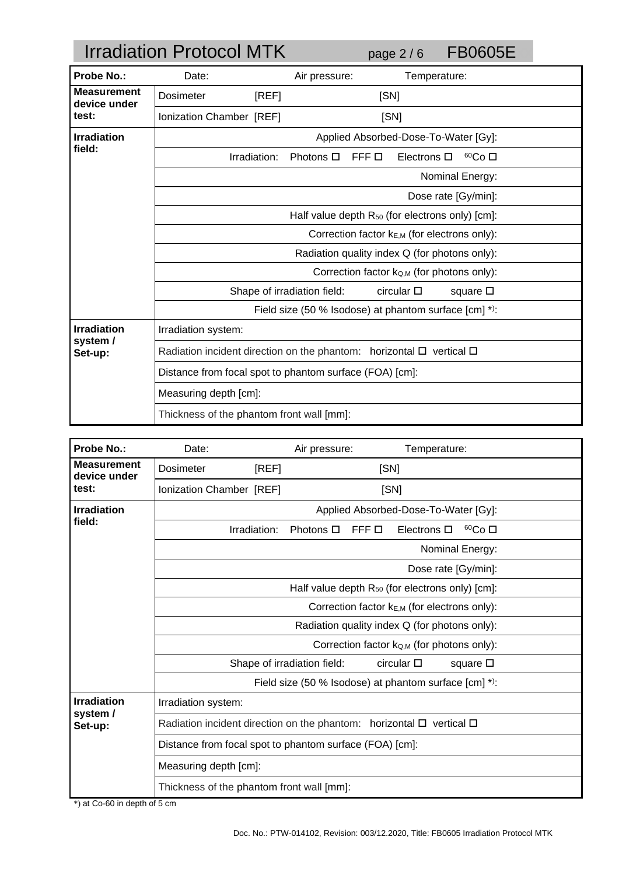|                                    | <b>Irradiation Protocol MTK</b>                                                |                                                         | page $2/6$                                      | <b>FB0605E</b>    |
|------------------------------------|--------------------------------------------------------------------------------|---------------------------------------------------------|-------------------------------------------------|-------------------|
| <b>Probe No.:</b>                  | Date:                                                                          | Air pressure:                                           | Temperature:                                    |                   |
| <b>Measurement</b><br>device under | <b>Dosimeter</b><br>[REF]                                                      |                                                         | [SN]                                            |                   |
| test:                              | Ionization Chamber [REF]                                                       |                                                         | [SN]                                            |                   |
| <b>Irradiation</b>                 |                                                                                |                                                         | Applied Absorbed-Dose-To-Water [Gy]:            |                   |
| field:                             | Irradiation:                                                                   | Photons $\Box$                                          | FFF O<br>Electrons $\Box$                       | 60Co <sub>1</sub> |
|                                    |                                                                                |                                                         |                                                 | Nominal Energy:   |
|                                    | Dose rate [Gy/min]:                                                            |                                                         |                                                 |                   |
|                                    | Half value depth $R_{50}$ (for electrons only) [cm]:                           |                                                         |                                                 |                   |
|                                    | Correction factor k <sub>E,M</sub> (for electrons only):                       |                                                         |                                                 |                   |
|                                    | Radiation quality index Q (for photons only):                                  |                                                         |                                                 |                   |
|                                    |                                                                                |                                                         | Correction factor $k_{Q,M}$ (for photons only): |                   |
|                                    |                                                                                | Shape of irradiation field:                             | circular $\square$                              | square $\square$  |
|                                    | Field size (50 % Isodose) at phantom surface [cm] *):                          |                                                         |                                                 |                   |
| <b>Irradiation</b><br>system /     | Irradiation system:                                                            |                                                         |                                                 |                   |
| Set-up:                            | Radiation incident direction on the phantom: horizontal $\Box$ vertical $\Box$ |                                                         |                                                 |                   |
|                                    |                                                                                | Distance from focal spot to phantom surface (FOA) [cm]: |                                                 |                   |
|                                    | Measuring depth [cm]:                                                          |                                                         |                                                 |                   |
|                                    | Thickness of the phantom front wall [mm]:                                      |                                                         |                                                 |                   |

| Probe No.:                         | Date:                                                                          | Air pressure:               | Temperature:                                    |  |
|------------------------------------|--------------------------------------------------------------------------------|-----------------------------|-------------------------------------------------|--|
| <b>Measurement</b><br>device under | Dosimeter<br>[REF]                                                             | [SN]                        |                                                 |  |
| test:                              | Ionization Chamber [REF]                                                       | [SN]                        |                                                 |  |
| <b>Irradiation</b>                 |                                                                                |                             | Applied Absorbed-Dose-To-Water [Gy]:            |  |
| field:                             | Irradiation:                                                                   | Photons $\square$<br>FFF O  | 60Co <sub>1</sub><br>Electrons $\square$        |  |
|                                    |                                                                                |                             | Nominal Energy:                                 |  |
|                                    |                                                                                |                             | Dose rate [Gy/min]:                             |  |
|                                    | Half value depth $R_{50}$ (for electrons only) [cm]:                           |                             |                                                 |  |
|                                    | Correction factor k <sub>E,M</sub> (for electrons only):                       |                             |                                                 |  |
|                                    | Radiation quality index Q (for photons only):                                  |                             |                                                 |  |
|                                    |                                                                                |                             | Correction factor $k_{Q,M}$ (for photons only): |  |
|                                    |                                                                                | Shape of irradiation field: | $circular$ $\square$<br>square $\square$        |  |
|                                    | Field size (50 % Isodose) at phantom surface [cm] *):                          |                             |                                                 |  |
| <b>Irradiation</b>                 | Irradiation system:                                                            |                             |                                                 |  |
| system /<br>Set-up:                | Radiation incident direction on the phantom: horizontal $\Box$ vertical $\Box$ |                             |                                                 |  |
|                                    | Distance from focal spot to phantom surface (FOA) [cm]:                        |                             |                                                 |  |
|                                    | Measuring depth [cm]:                                                          |                             |                                                 |  |
|                                    | Thickness of the phantom front wall [mm]:                                      |                             |                                                 |  |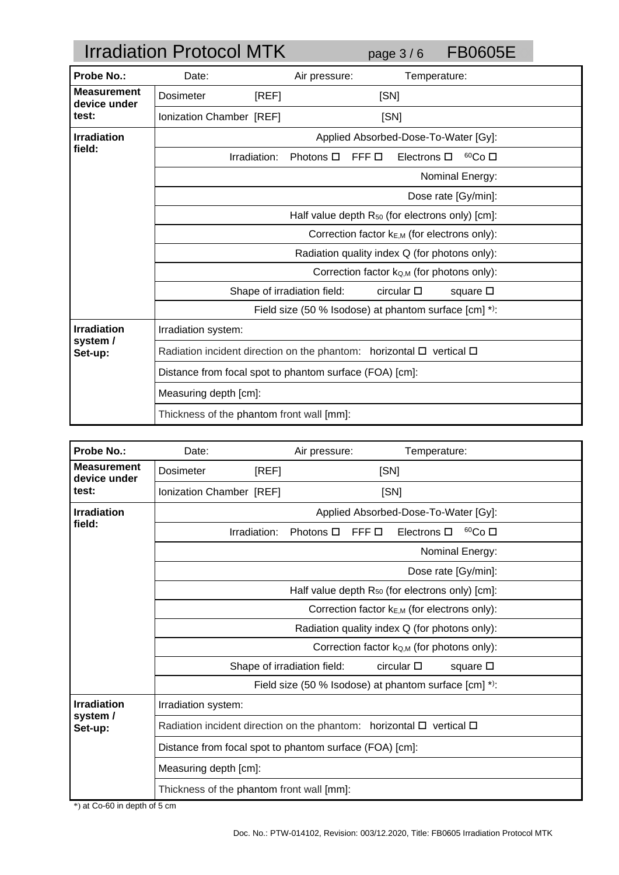|                                    | <b>Irradiation Protocol MTK</b>                                                |                             | page $3/6$                                 | <b>FB0605E</b>     |  |
|------------------------------------|--------------------------------------------------------------------------------|-----------------------------|--------------------------------------------|--------------------|--|
| Probe No.:                         | Date:                                                                          | Air pressure:               |                                            | Temperature:       |  |
| <b>Measurement</b><br>device under | <b>Dosimeter</b>                                                               | [REF]                       | [SN]                                       |                    |  |
| test:                              | Ionization Chamber [REF]                                                       |                             | [SN]                                       |                    |  |
| <b>Irradiation</b>                 |                                                                                |                             | Applied Absorbed-Dose-To-Water [Gy]:       |                    |  |
| field:                             | Irradiation:                                                                   | Photons $\square$           | Electrons $\square$<br>FFF O               | 60Co <sub>CD</sub> |  |
|                                    |                                                                                |                             |                                            | Nominal Energy:    |  |
|                                    | Dose rate [Gy/min]:                                                            |                             |                                            |                    |  |
|                                    | Half value depth $R_{50}$ (for electrons only) [cm]:                           |                             |                                            |                    |  |
|                                    | Correction factor $k_{E,M}$ (for electrons only):                              |                             |                                            |                    |  |
|                                    | Radiation quality index Q (for photons only):                                  |                             |                                            |                    |  |
|                                    |                                                                                |                             | Correction factor ko,M (for photons only): |                    |  |
|                                    |                                                                                | Shape of irradiation field: | circular $\square$                         | square $\square$   |  |
|                                    | Field size (50 % Isodose) at phantom surface [cm] *):                          |                             |                                            |                    |  |
| <b>Irradiation</b>                 | Irradiation system:                                                            |                             |                                            |                    |  |
| system /<br>Set-up:                | Radiation incident direction on the phantom: horizontal $\Box$ vertical $\Box$ |                             |                                            |                    |  |
|                                    | Distance from focal spot to phantom surface (FOA) [cm]:                        |                             |                                            |                    |  |
|                                    | Measuring depth [cm]:                                                          |                             |                                            |                    |  |
|                                    | Thickness of the phantom front wall [mm]:                                      |                             |                                            |                    |  |

| <b>Probe No.:</b>                  | Date:                                                                                | Air pressure:               | Temperature:                                    |
|------------------------------------|--------------------------------------------------------------------------------------|-----------------------------|-------------------------------------------------|
| <b>Measurement</b><br>device under | [REF]<br>Dosimeter                                                                   | [SN]                        |                                                 |
| test:                              | Ionization Chamber [REF]                                                             | [SN]                        |                                                 |
| <b>Irradiation</b>                 |                                                                                      |                             | Applied Absorbed-Dose-To-Water [Gy]:            |
| field:                             | Irradiation:                                                                         | FFF O<br>Photons $\Box$     | 60Co <sub>1</sub><br>Electrons $\square$        |
|                                    |                                                                                      |                             | Nominal Energy:                                 |
|                                    |                                                                                      |                             | Dose rate [Gy/min]:                             |
|                                    | Half value depth $R_{50}$ (for electrons only) [cm]:                                 |                             |                                                 |
|                                    | Correction factor kE,M (for electrons only):                                         |                             |                                                 |
|                                    | Radiation quality index Q (for photons only):                                        |                             |                                                 |
|                                    |                                                                                      |                             | Correction factor $k_{Q,M}$ (for photons only): |
|                                    |                                                                                      | Shape of irradiation field: | circular $\square$<br>square $\square$          |
|                                    | Field size (50 % Isodose) at phantom surface [cm] *):                                |                             |                                                 |
| <b>Irradiation</b>                 | Irradiation system:                                                                  |                             |                                                 |
| system /<br>Set-up:                | Radiation incident direction on the phantom: horizontal $\square$ vertical $\square$ |                             |                                                 |
|                                    | Distance from focal spot to phantom surface (FOA) [cm]:                              |                             |                                                 |
|                                    | Measuring depth [cm]:                                                                |                             |                                                 |
|                                    | Thickness of the phantom front wall [mm]:                                            |                             |                                                 |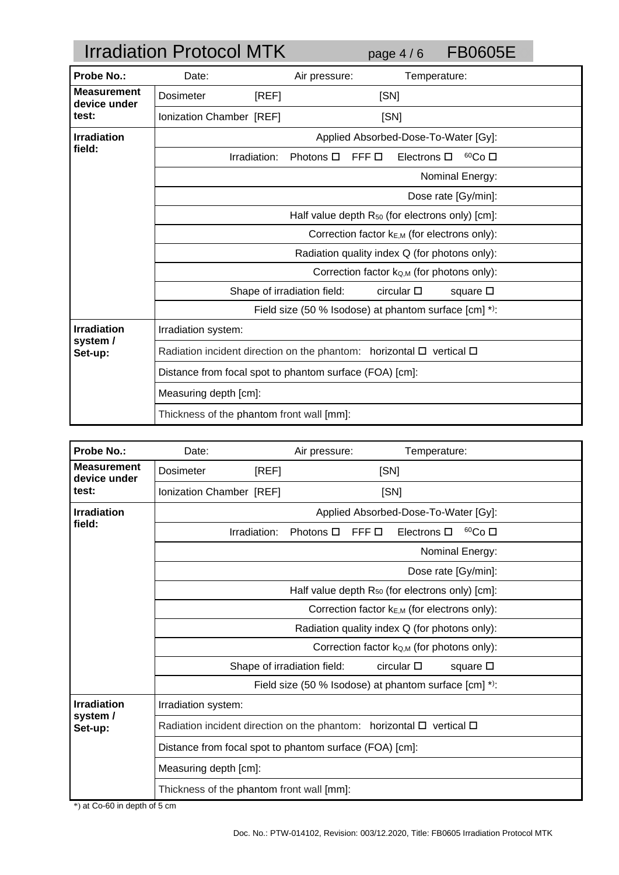|                                    | <b>Irradiation Protocol MTK</b>                                                |                             | page $4/6$                           | <b>FB0605E</b>    |  |
|------------------------------------|--------------------------------------------------------------------------------|-----------------------------|--------------------------------------|-------------------|--|
| <b>Probe No.:</b>                  | Date:                                                                          | Air pressure:               | Temperature:                         |                   |  |
| <b>Measurement</b><br>device under | Dosimeter<br>[REF]                                                             |                             | [SN]                                 |                   |  |
| test:                              | Ionization Chamber [REF]                                                       |                             | [SN]                                 |                   |  |
| <b>Irradiation</b>                 |                                                                                |                             | Applied Absorbed-Dose-To-Water [Gy]: |                   |  |
| field:                             | Irradiation:                                                                   | Photons $\Box$              | FFF O<br>Electrons $\square$         | 60Co <sub>1</sub> |  |
|                                    |                                                                                |                             |                                      | Nominal Energy:   |  |
|                                    | Dose rate [Gy/min]:                                                            |                             |                                      |                   |  |
|                                    | Half value depth $R_{50}$ (for electrons only) [cm]:                           |                             |                                      |                   |  |
|                                    | Correction factor kE,M (for electrons only):                                   |                             |                                      |                   |  |
|                                    | Radiation quality index Q (for photons only):                                  |                             |                                      |                   |  |
|                                    | Correction factor k <sub>Q,M</sub> (for photons only):                         |                             |                                      |                   |  |
|                                    |                                                                                | Shape of irradiation field: | $circular$ $\square$                 | square $\square$  |  |
|                                    | Field size (50 % Isodose) at phantom surface [cm] *):                          |                             |                                      |                   |  |
| <b>Irradiation</b><br>system /     | Irradiation system:                                                            |                             |                                      |                   |  |
| Set-up:                            | Radiation incident direction on the phantom: horizontal $\Box$ vertical $\Box$ |                             |                                      |                   |  |
|                                    | Distance from focal spot to phantom surface (FOA) [cm]:                        |                             |                                      |                   |  |
|                                    | Measuring depth [cm]:                                                          |                             |                                      |                   |  |
|                                    | Thickness of the phantom front wall [mm]:                                      |                             |                                      |                   |  |

| <b>Probe No.:</b>                  | Date:                                                                                | Air pressure:               | Temperature:                                    |
|------------------------------------|--------------------------------------------------------------------------------------|-----------------------------|-------------------------------------------------|
| <b>Measurement</b><br>device under | [REF]<br>Dosimeter                                                                   | [SN]                        |                                                 |
| test:                              | Ionization Chamber [REF]                                                             | [SN]                        |                                                 |
| <b>Irradiation</b>                 |                                                                                      |                             | Applied Absorbed-Dose-To-Water [Gy]:            |
| field:                             | Irradiation:                                                                         | FFF O<br>Photons $\Box$     | 60Co <sub>1</sub><br>Electrons $\square$        |
|                                    |                                                                                      |                             | Nominal Energy:                                 |
|                                    |                                                                                      |                             | Dose rate [Gy/min]:                             |
|                                    | Half value depth $R_{50}$ (for electrons only) [cm]:                                 |                             |                                                 |
|                                    | Correction factor kE,M (for electrons only):                                         |                             |                                                 |
|                                    | Radiation quality index Q (for photons only):                                        |                             |                                                 |
|                                    |                                                                                      |                             | Correction factor $k_{Q,M}$ (for photons only): |
|                                    |                                                                                      | Shape of irradiation field: | circular $\square$<br>square $\square$          |
|                                    | Field size (50 % Isodose) at phantom surface [cm] *):                                |                             |                                                 |
| <b>Irradiation</b>                 | Irradiation system:                                                                  |                             |                                                 |
| system /<br>Set-up:                | Radiation incident direction on the phantom: horizontal $\square$ vertical $\square$ |                             |                                                 |
|                                    | Distance from focal spot to phantom surface (FOA) [cm]:                              |                             |                                                 |
|                                    | Measuring depth [cm]:                                                                |                             |                                                 |
|                                    | Thickness of the phantom front wall [mm]:                                            |                             |                                                 |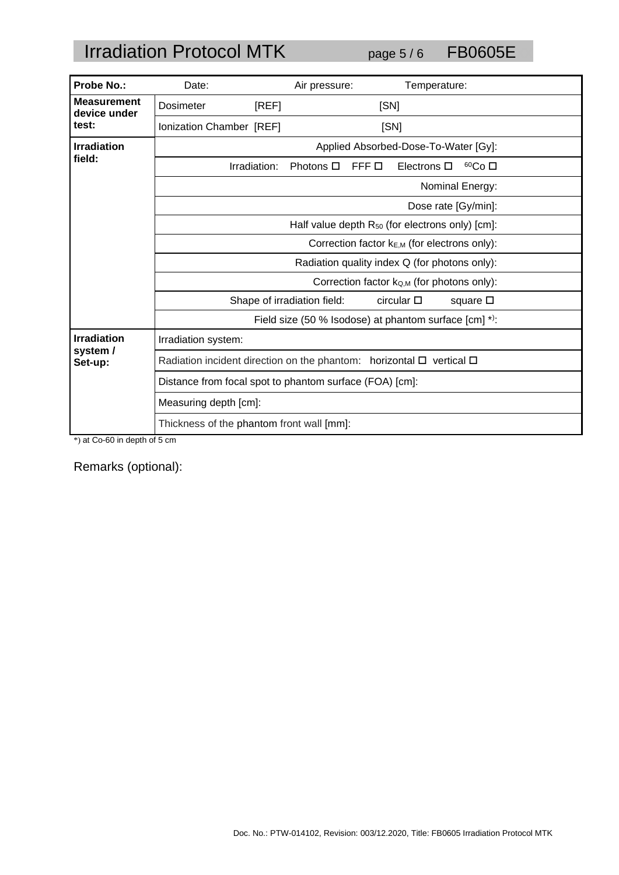# Irradiation Protocol MTK page 5/6 FB0605E

| <b>Probe No.:</b>                  | Date:                                                                                | Air pressure:               | Temperature:                                          |                    |
|------------------------------------|--------------------------------------------------------------------------------------|-----------------------------|-------------------------------------------------------|--------------------|
| <b>Measurement</b><br>device under | Dosimeter<br>[REF]                                                                   |                             | [SN]                                                  |                    |
| test:                              | Ionization Chamber [REF]                                                             |                             | [SN]                                                  |                    |
| <b>Irradiation</b>                 |                                                                                      |                             | Applied Absorbed-Dose-To-Water [Gy]:                  |                    |
| field:                             | Irradiation:                                                                         | Photons □<br>FFF O          | Electrons $\square$                                   | 60Co <sub>CD</sub> |
|                                    |                                                                                      |                             | Nominal Energy:                                       |                    |
|                                    |                                                                                      |                             | Dose rate [Gy/min]:                                   |                    |
|                                    | Half value depth $R_{50}$ (for electrons only) [cm]:                                 |                             |                                                       |                    |
|                                    | Correction factor kE,M (for electrons only):                                         |                             |                                                       |                    |
|                                    | Radiation quality index Q (for photons only):                                        |                             |                                                       |                    |
|                                    | Correction factor k <sub>Q,M</sub> (for photons only):                               |                             |                                                       |                    |
|                                    |                                                                                      | Shape of irradiation field: | $circular$ $\square$                                  | square $\square$   |
|                                    |                                                                                      |                             | Field size (50 % Isodose) at phantom surface [cm] *): |                    |
| <b>Irradiation</b>                 | Irradiation system:                                                                  |                             |                                                       |                    |
| system /<br>Set-up:                | Radiation incident direction on the phantom: horizontal $\square$ vertical $\square$ |                             |                                                       |                    |
|                                    | Distance from focal spot to phantom surface (FOA) [cm]:                              |                             |                                                       |                    |
|                                    | Measuring depth [cm]:                                                                |                             |                                                       |                    |
|                                    | Thickness of the phantom front wall [mm]:                                            |                             |                                                       |                    |

\*) at Co-60 in depth of 5 cm

Remarks (optional):